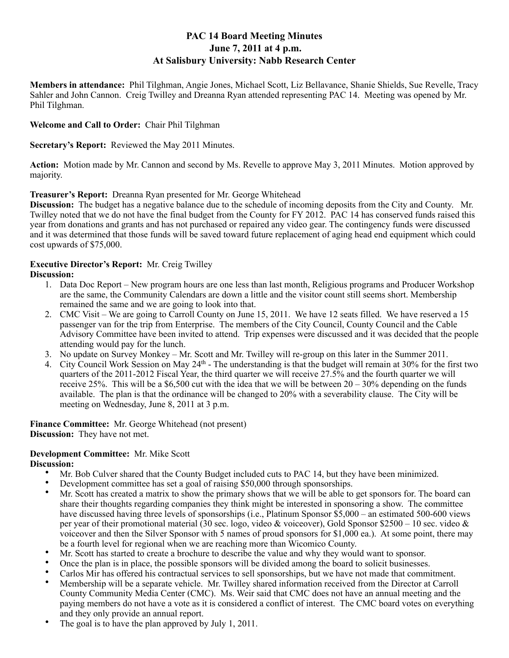# **PAC 14 Board Meeting Minutes June 7, 2011 at 4 p.m. At Salisbury University: Nabb Research Center**

**Members in attendance:** Phil Tilghman, Angie Jones, Michael Scott, Liz Bellavance, Shanie Shields, Sue Revelle, Tracy Sahler and John Cannon. Creig Twilley and Dreanna Ryan attended representing PAC 14. Meeting was opened by Mr. Phil Tilghman.

# **Welcome and Call to Order:** Chair Phil Tilghman

**Secretary's Report:** Reviewed the May 2011 Minutes.

**Action:** Motion made by Mr. Cannon and second by Ms. Revelle to approve May 3, 2011 Minutes. Motion approved by majority.

# **Treasurer's Report:** Dreanna Ryan presented for Mr. George Whitehead

**Discussion:** The budget has a negative balance due to the schedule of incoming deposits from the City and County. Mr. Twilley noted that we do not have the final budget from the County for FY 2012. PAC 14 has conserved funds raised this year from donations and grants and has not purchased or repaired any video gear. The contingency funds were discussed and it was determined that those funds will be saved toward future replacement of aging head end equipment which could cost upwards of \$75,000.

# **Executive Director's Report:** Mr. Creig Twilley

### **Discussion:**

- 1. Data Doc Report New program hours are one less than last month, Religious programs and Producer Workshop are the same, the Community Calendars are down a little and the visitor count still seems short. Membership remained the same and we are going to look into that.
- 2. CMC Visit We are going to Carroll County on June 15, 2011. We have 12 seats filled. We have reserved a 15 passenger van for the trip from Enterprise. The members of the City Council, County Council and the Cable Advisory Committee have been invited to attend. Trip expenses were discussed and it was decided that the people attending would pay for the lunch.
- 3. No update on Survey Monkey Mr. Scott and Mr. Twilley will re-group on this later in the Summer 2011.
- 4. City Council Work Session on May 24th The understanding is that the budget will remain at 30% for the first two quarters of the 2011-2012 Fiscal Year, the third quarter we will receive 27.5% and the fourth quarter we will receive 25%. This will be a \$6,500 cut with the idea that we will be between  $20 - 30%$  depending on the funds available. The plan is that the ordinance will be changed to 20% with a severability clause. The City will be meeting on Wednesday, June 8, 2011 at 3 p.m.

**Finance Committee:** Mr. George Whitehead (not present) **Discussion:** They have not met.

# **Development Committee:** Mr. Mike Scott

# Discussion:

- Mr. Bob Culver shared that the County Budget included cuts to PAC 14, but they have been minimized.
- Development committee has set a goal of raising \$50,000 through sponsorships.
- Mr. Scott has created a matrix to show the primary shows that we will be able to get sponsors for. The board can share their thoughts regarding companies they think might be interested in sponsoring a show. The committee have discussed having three levels of sponsorships (i.e., Platinum Sponsor \$5,000 – an estimated 500-600 views per year of their promotional material (30 sec. logo, video & voiceover), Gold Sponsor \$2500 – 10 sec. video & voiceover and then the Silver Sponsor with 5 names of proud sponsors for \$1,000 ea.). At some point, there may be a fourth level for regional when we are reaching more than Wicomico County.
- Mr. Scott has started to create a brochure to describe the value and why they would want to sponsor.
- Once the plan is in place, the possible sponsors will be divided among the board to solicit businesses.
- Carlos Mir has offered his contractual services to sell sponsorships, but we have not made that commitment.
- Membership will be a separate vehicle. Mr. Twilley shared information received from the Director at Carroll County Community Media Center (CMC). Ms. Weir said that CMC does not have an annual meeting and the paying members do not have a vote as it is considered a conflict of interest. The CMC board votes on everything and they only provide an annual report.
- The goal is to have the plan approved by July 1, 2011.